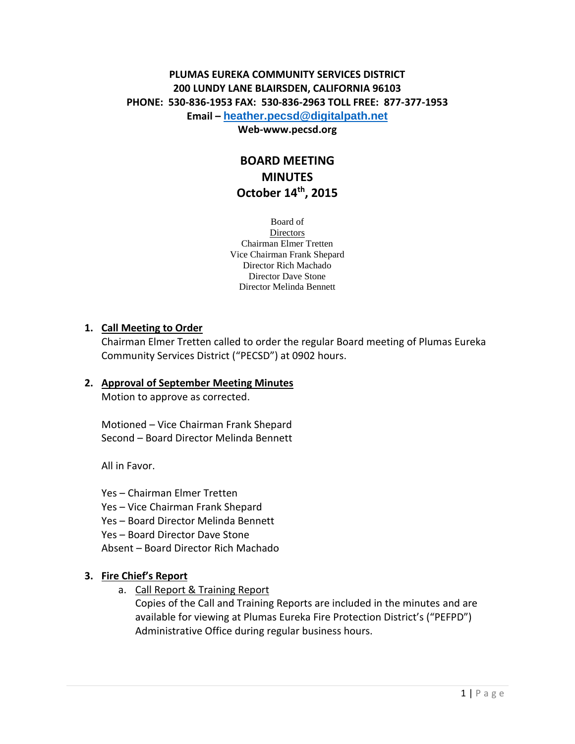# **PLUMAS EUREKA COMMUNITY SERVICES DISTRICT 200 LUNDY LANE BLAIRSDEN, CALIFORNIA 96103 PHONE: 530-836-1953 FAX: 530-836-2963 TOLL FREE: 877-377-1953 Email – [heather.pecsd@digitalpath.net](mailto:heather.pecsd@digitalpath.net)**

#### **Web-www.pecsd.org**

# **BOARD MEETING MINUTES October 14th , 2015**

Board of **Directors** Chairman Elmer Tretten Vice Chairman Frank Shepard Director Rich Machado Director Dave Stone Director Melinda Bennett

### **1. Call Meeting to Order**

Chairman Elmer Tretten called to order the regular Board meeting of Plumas Eureka Community Services District ("PECSD") at 0902 hours.

#### **2. Approval of September Meeting Minutes**

Motion to approve as corrected.

Motioned – Vice Chairman Frank Shepard Second – Board Director Melinda Bennett

All in Favor.

Yes – Chairman Elmer Tretten Yes – Vice Chairman Frank Shepard Yes – Board Director Melinda Bennett Yes – Board Director Dave Stone Absent – Board Director Rich Machado

### **3. Fire Chief's Report**

a. Call Report & Training Report

Copies of the Call and Training Reports are included in the minutes and are available for viewing at Plumas Eureka Fire Protection District's ("PEFPD") Administrative Office during regular business hours.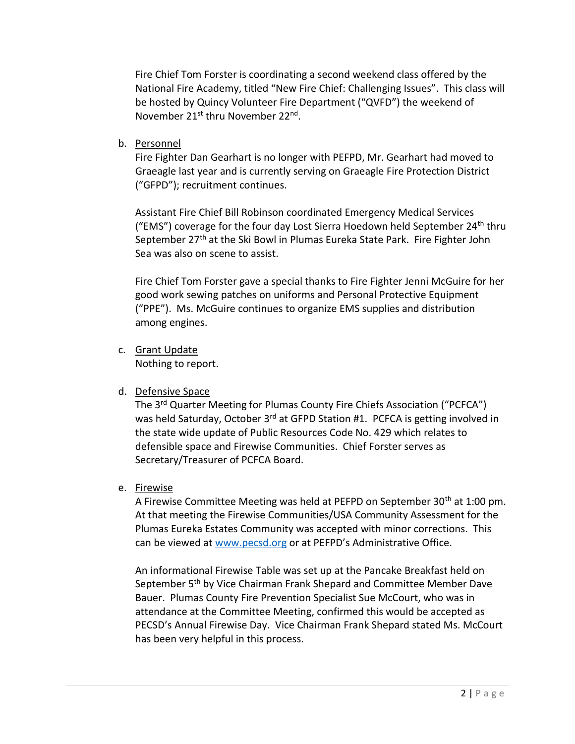Fire Chief Tom Forster is coordinating a second weekend class offered by the National Fire Academy, titled "New Fire Chief: Challenging Issues". This class will be hosted by Quincy Volunteer Fire Department ("QVFD") the weekend of November 21<sup>st</sup> thru November 22<sup>nd</sup>.

b. Personnel

Fire Fighter Dan Gearhart is no longer with PEFPD, Mr. Gearhart had moved to Graeagle last year and is currently serving on Graeagle Fire Protection District ("GFPD"); recruitment continues.

Assistant Fire Chief Bill Robinson coordinated Emergency Medical Services ("EMS") coverage for the four day Lost Sierra Hoedown held September 24<sup>th</sup> thru September 27<sup>th</sup> at the Ski Bowl in Plumas Eureka State Park. Fire Fighter John Sea was also on scene to assist.

Fire Chief Tom Forster gave a special thanks to Fire Fighter Jenni McGuire for her good work sewing patches on uniforms and Personal Protective Equipment ("PPE"). Ms. McGuire continues to organize EMS supplies and distribution among engines.

- c. Grant Update Nothing to report.
- d. Defensive Space

The 3rd Quarter Meeting for Plumas County Fire Chiefs Association ("PCFCA") was held Saturday, October 3<sup>rd</sup> at GFPD Station #1. PCFCA is getting involved in the state wide update of Public Resources Code No. 429 which relates to defensible space and Firewise Communities. Chief Forster serves as Secretary/Treasurer of PCFCA Board.

e. Firewise

A Firewise Committee Meeting was held at PEFPD on September 30<sup>th</sup> at 1:00 pm. At that meeting the Firewise Communities/USA Community Assessment for the Plumas Eureka Estates Community was accepted with minor corrections. This can be viewed at [www.pecsd.org](http://www.pecsd.org/) or at PEFPD's Administrative Office.

An informational Firewise Table was set up at the Pancake Breakfast held on September 5<sup>th</sup> by Vice Chairman Frank Shepard and Committee Member Dave Bauer. Plumas County Fire Prevention Specialist Sue McCourt, who was in attendance at the Committee Meeting, confirmed this would be accepted as PECSD's Annual Firewise Day. Vice Chairman Frank Shepard stated Ms. McCourt has been very helpful in this process.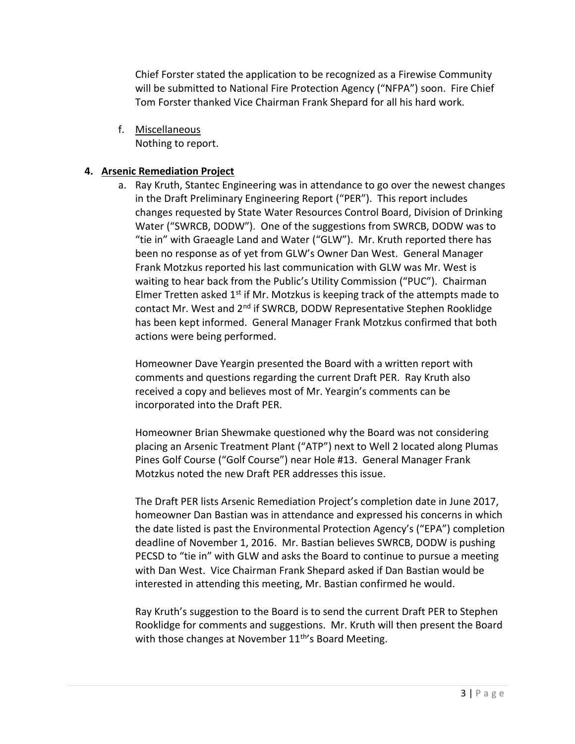Chief Forster stated the application to be recognized as a Firewise Community will be submitted to National Fire Protection Agency ("NFPA") soon. Fire Chief Tom Forster thanked Vice Chairman Frank Shepard for all his hard work.

f. Miscellaneous Nothing to report.

## **4. Arsenic Remediation Project**

a. Ray Kruth, Stantec Engineering was in attendance to go over the newest changes in the Draft Preliminary Engineering Report ("PER"). This report includes changes requested by State Water Resources Control Board, Division of Drinking Water ("SWRCB, DODW"). One of the suggestions from SWRCB, DODW was to "tie in" with Graeagle Land and Water ("GLW"). Mr. Kruth reported there has been no response as of yet from GLW's Owner Dan West. General Manager Frank Motzkus reported his last communication with GLW was Mr. West is waiting to hear back from the Public's Utility Commission ("PUC"). Chairman Elmer Tretten asked  $1<sup>st</sup>$  if Mr. Motzkus is keeping track of the attempts made to contact Mr. West and 2<sup>nd</sup> if SWRCB, DODW Representative Stephen Rooklidge has been kept informed. General Manager Frank Motzkus confirmed that both actions were being performed.

Homeowner Dave Yeargin presented the Board with a written report with comments and questions regarding the current Draft PER. Ray Kruth also received a copy and believes most of Mr. Yeargin's comments can be incorporated into the Draft PER.

Homeowner Brian Shewmake questioned why the Board was not considering placing an Arsenic Treatment Plant ("ATP") next to Well 2 located along Plumas Pines Golf Course ("Golf Course") near Hole #13. General Manager Frank Motzkus noted the new Draft PER addresses this issue.

The Draft PER lists Arsenic Remediation Project's completion date in June 2017, homeowner Dan Bastian was in attendance and expressed his concerns in which the date listed is past the Environmental Protection Agency's ("EPA") completion deadline of November 1, 2016. Mr. Bastian believes SWRCB, DODW is pushing PECSD to "tie in" with GLW and asks the Board to continue to pursue a meeting with Dan West. Vice Chairman Frank Shepard asked if Dan Bastian would be interested in attending this meeting, Mr. Bastian confirmed he would.

Ray Kruth's suggestion to the Board is to send the current Draft PER to Stephen Rooklidge for comments and suggestions. Mr. Kruth will then present the Board with those changes at November  $11<sup>th</sup>$ 's Board Meeting.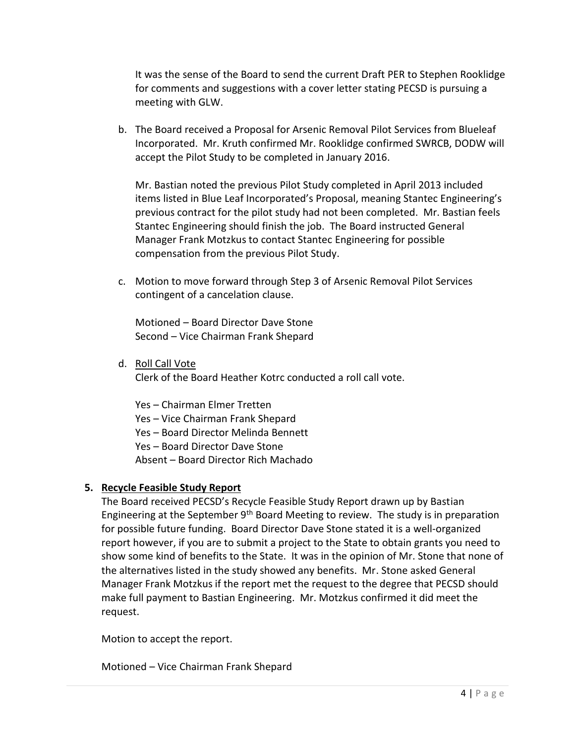It was the sense of the Board to send the current Draft PER to Stephen Rooklidge for comments and suggestions with a cover letter stating PECSD is pursuing a meeting with GLW.

b. The Board received a Proposal for Arsenic Removal Pilot Services from Blueleaf Incorporated. Mr. Kruth confirmed Mr. Rooklidge confirmed SWRCB, DODW will accept the Pilot Study to be completed in January 2016.

Mr. Bastian noted the previous Pilot Study completed in April 2013 included items listed in Blue Leaf Incorporated's Proposal, meaning Stantec Engineering's previous contract for the pilot study had not been completed. Mr. Bastian feels Stantec Engineering should finish the job. The Board instructed General Manager Frank Motzkus to contact Stantec Engineering for possible compensation from the previous Pilot Study.

c. Motion to move forward through Step 3 of Arsenic Removal Pilot Services contingent of a cancelation clause.

Motioned – Board Director Dave Stone Second – Vice Chairman Frank Shepard

d. Roll Call Vote

Clerk of the Board Heather Kotrc conducted a roll call vote.

Yes – Chairman Elmer Tretten Yes – Vice Chairman Frank Shepard Yes – Board Director Melinda Bennett Yes – Board Director Dave Stone Absent – Board Director Rich Machado

### **5. Recycle Feasible Study Report**

The Board received PECSD's Recycle Feasible Study Report drawn up by Bastian Engineering at the September  $9<sup>th</sup>$  Board Meeting to review. The study is in preparation for possible future funding. Board Director Dave Stone stated it is a well-organized report however, if you are to submit a project to the State to obtain grants you need to show some kind of benefits to the State. It was in the opinion of Mr. Stone that none of the alternatives listed in the study showed any benefits. Mr. Stone asked General Manager Frank Motzkus if the report met the request to the degree that PECSD should make full payment to Bastian Engineering. Mr. Motzkus confirmed it did meet the request.

Motion to accept the report.

Motioned – Vice Chairman Frank Shepard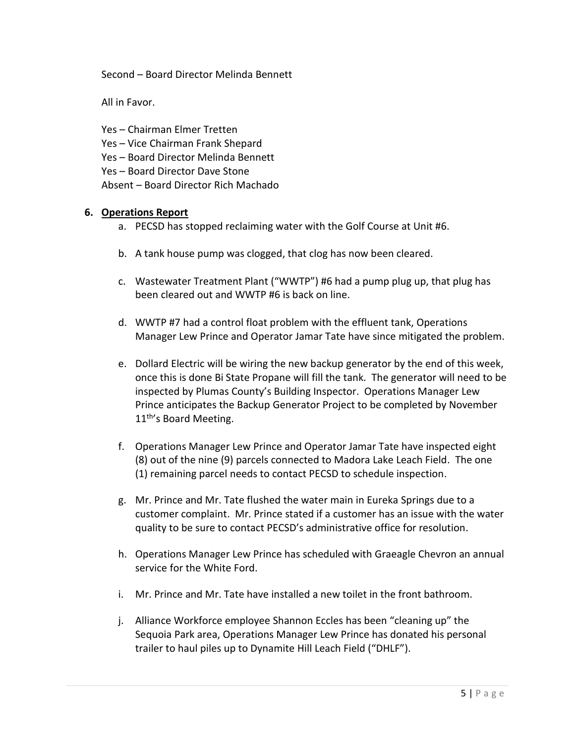Second – Board Director Melinda Bennett

All in Favor.

Yes – Chairman Elmer Tretten Yes – Vice Chairman Frank Shepard Yes – Board Director Melinda Bennett Yes – Board Director Dave Stone Absent – Board Director Rich Machado

### **6. Operations Report**

- a. PECSD has stopped reclaiming water with the Golf Course at Unit #6.
- b. A tank house pump was clogged, that clog has now been cleared.
- c. Wastewater Treatment Plant ("WWTP") #6 had a pump plug up, that plug has been cleared out and WWTP #6 is back on line.
- d. WWTP #7 had a control float problem with the effluent tank, Operations Manager Lew Prince and Operator Jamar Tate have since mitigated the problem.
- e. Dollard Electric will be wiring the new backup generator by the end of this week, once this is done Bi State Propane will fill the tank. The generator will need to be inspected by Plumas County's Building Inspector. Operations Manager Lew Prince anticipates the Backup Generator Project to be completed by November 11<sup>th'</sup>s Board Meeting.
- f. Operations Manager Lew Prince and Operator Jamar Tate have inspected eight (8) out of the nine (9) parcels connected to Madora Lake Leach Field. The one (1) remaining parcel needs to contact PECSD to schedule inspection.
- g. Mr. Prince and Mr. Tate flushed the water main in Eureka Springs due to a customer complaint. Mr. Prince stated if a customer has an issue with the water quality to be sure to contact PECSD's administrative office for resolution.
- h. Operations Manager Lew Prince has scheduled with Graeagle Chevron an annual service for the White Ford.
- i. Mr. Prince and Mr. Tate have installed a new toilet in the front bathroom.
- j. Alliance Workforce employee Shannon Eccles has been "cleaning up" the Sequoia Park area, Operations Manager Lew Prince has donated his personal trailer to haul piles up to Dynamite Hill Leach Field ("DHLF").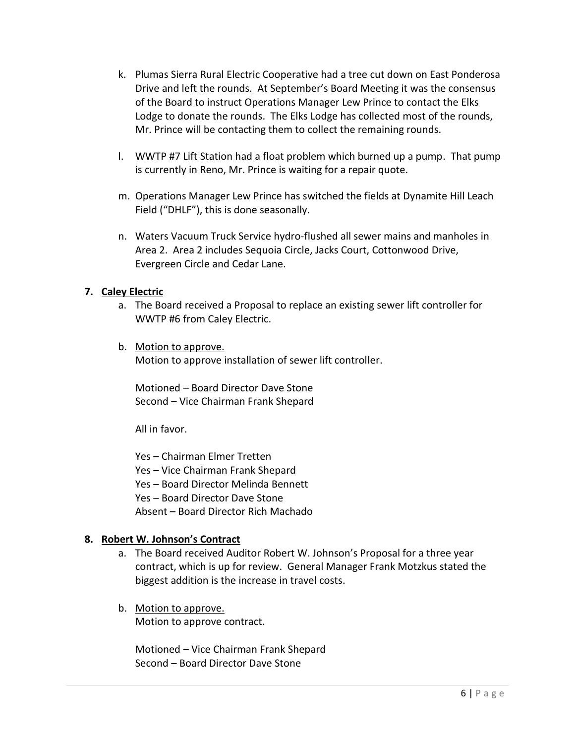- k. Plumas Sierra Rural Electric Cooperative had a tree cut down on East Ponderosa Drive and left the rounds. At September's Board Meeting it was the consensus of the Board to instruct Operations Manager Lew Prince to contact the Elks Lodge to donate the rounds. The Elks Lodge has collected most of the rounds, Mr. Prince will be contacting them to collect the remaining rounds.
- l. WWTP #7 Lift Station had a float problem which burned up a pump. That pump is currently in Reno, Mr. Prince is waiting for a repair quote.
- m. Operations Manager Lew Prince has switched the fields at Dynamite Hill Leach Field ("DHLF"), this is done seasonally.
- n. Waters Vacuum Truck Service hydro-flushed all sewer mains and manholes in Area 2. Area 2 includes Sequoia Circle, Jacks Court, Cottonwood Drive, Evergreen Circle and Cedar Lane.

### **7. Caley Electric**

- a. The Board received a Proposal to replace an existing sewer lift controller for WWTP #6 from Caley Electric.
- b. Motion to approve. Motion to approve installation of sewer lift controller.

Motioned – Board Director Dave Stone Second – Vice Chairman Frank Shepard

All in favor.

Yes – Chairman Elmer Tretten Yes – Vice Chairman Frank Shepard Yes – Board Director Melinda Bennett Yes – Board Director Dave Stone Absent – Board Director Rich Machado

### **8. Robert W. Johnson's Contract**

- a. The Board received Auditor Robert W. Johnson's Proposal for a three year contract, which is up for review. General Manager Frank Motzkus stated the biggest addition is the increase in travel costs.
- b. Motion to approve. Motion to approve contract.

Motioned – Vice Chairman Frank Shepard Second – Board Director Dave Stone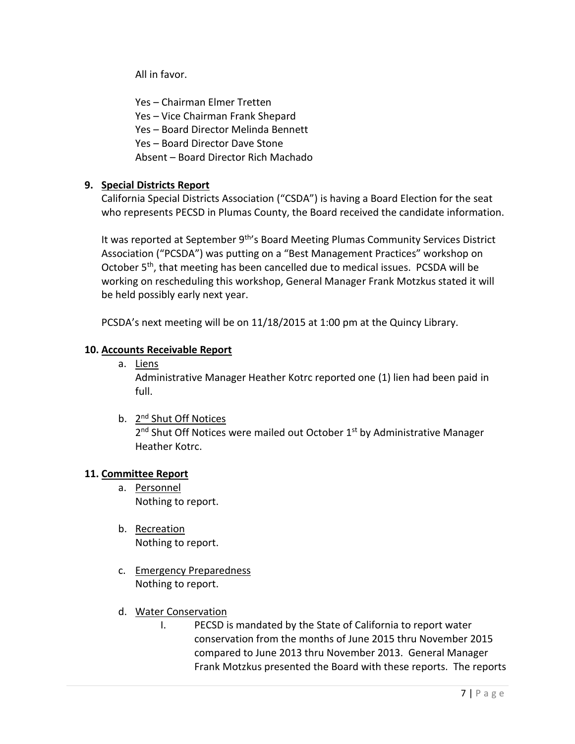All in favor.

Yes – Chairman Elmer Tretten Yes – Vice Chairman Frank Shepard Yes – Board Director Melinda Bennett Yes – Board Director Dave Stone Absent – Board Director Rich Machado

# **9. Special Districts Report**

California Special Districts Association ("CSDA") is having a Board Election for the seat who represents PECSD in Plumas County, the Board received the candidate information.

It was reported at September 9<sup>th</sup>'s Board Meeting Plumas Community Services District Association ("PCSDA") was putting on a "Best Management Practices" workshop on October 5<sup>th</sup>, that meeting has been cancelled due to medical issues. PCSDA will be working on rescheduling this workshop, General Manager Frank Motzkus stated it will be held possibly early next year.

PCSDA's next meeting will be on 11/18/2015 at 1:00 pm at the Quincy Library.

### **10. Accounts Receivable Report**

a. Liens

Administrative Manager Heather Kotrc reported one (1) lien had been paid in full.

b. 2<sup>nd</sup> Shut Off Notices

2<sup>nd</sup> Shut Off Notices were mailed out October 1<sup>st</sup> by Administrative Manager Heather Kotrc.

### **11. Committee Report**

- a. Personnel Nothing to report.
- b. Recreation Nothing to report.
- c. Emergency Preparedness Nothing to report.
- d. Water Conservation
	- I. PECSD is mandated by the State of California to report water conservation from the months of June 2015 thru November 2015 compared to June 2013 thru November 2013. General Manager Frank Motzkus presented the Board with these reports. The reports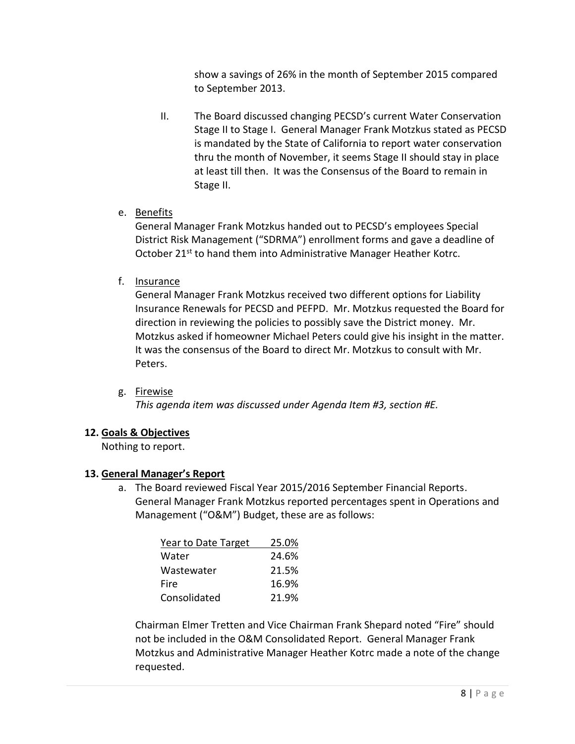show a savings of 26% in the month of September 2015 compared to September 2013.

- II. The Board discussed changing PECSD's current Water Conservation Stage II to Stage I. General Manager Frank Motzkus stated as PECSD is mandated by the State of California to report water conservation thru the month of November, it seems Stage II should stay in place at least till then. It was the Consensus of the Board to remain in Stage II.
- e. Benefits

General Manager Frank Motzkus handed out to PECSD's employees Special District Risk Management ("SDRMA") enrollment forms and gave a deadline of October 21<sup>st</sup> to hand them into Administrative Manager Heather Kotrc.

f. Insurance

General Manager Frank Motzkus received two different options for Liability Insurance Renewals for PECSD and PEFPD. Mr. Motzkus requested the Board for direction in reviewing the policies to possibly save the District money. Mr. Motzkus asked if homeowner Michael Peters could give his insight in the matter. It was the consensus of the Board to direct Mr. Motzkus to consult with Mr. Peters.

g. Firewise

*This agenda item was discussed under Agenda Item #3, section #E.*

### **12. Goals & Objectives**

Nothing to report.

### **13. General Manager's Report**

a. The Board reviewed Fiscal Year 2015/2016 September Financial Reports. General Manager Frank Motzkus reported percentages spent in Operations and Management ("O&M") Budget, these are as follows:

| Year to Date Target | 25.0% |
|---------------------|-------|
| Water               | 24.6% |
| Wastewater          | 21.5% |
| Fire                | 16.9% |
| Consolidated        | 21.9% |

Chairman Elmer Tretten and Vice Chairman Frank Shepard noted "Fire" should not be included in the O&M Consolidated Report. General Manager Frank Motzkus and Administrative Manager Heather Kotrc made a note of the change requested.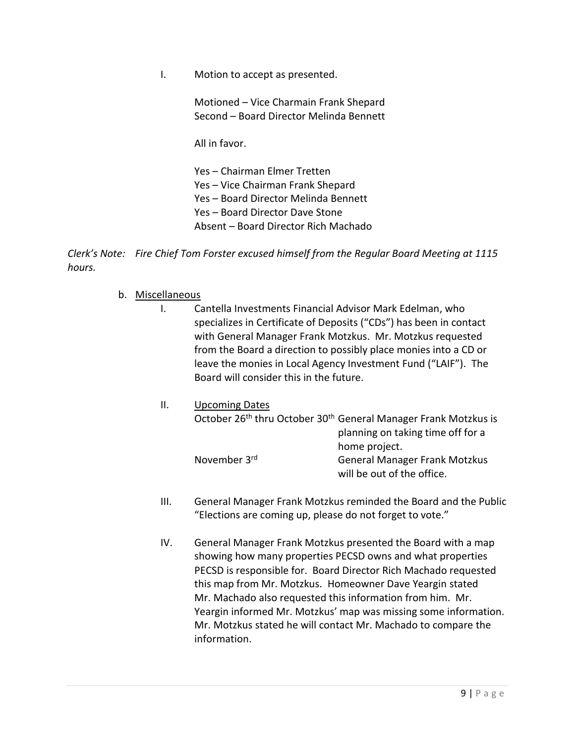I. Motion to accept as presented.

Motioned – Vice Charmain Frank Shepard Second – Board Director Melinda Bennett

All in favor.

Yes – Chairman Elmer Tretten Yes – Vice Chairman Frank Shepard Yes – Board Director Melinda Bennett Yes – Board Director Dave Stone Absent – Board Director Rich Machado

*Clerk's Note: Fire Chief Tom Forster excused himself from the Regular Board Meeting at 1115 hours.*

- b. Miscellaneous
	- I. Cantella Investments Financial Advisor Mark Edelman, who specializes in Certificate of Deposits ("CDs") has been in contact with General Manager Frank Motzkus. Mr. Motzkus requested from the Board a direction to possibly place monies into a CD or leave the monies in Local Agency Investment Fund ("LAIF"). The Board will consider this in the future.
	- II. Upcoming Dates October 26<sup>th</sup> thru October 30<sup>th</sup> General Manager Frank Motzkus is planning on taking time off for a home project. November 3rd General Manager Frank Motzkus will be out of the office.
	- III. General Manager Frank Motzkus reminded the Board and the Public "Elections are coming up, please do not forget to vote."
	- IV. General Manager Frank Motzkus presented the Board with a map showing how many properties PECSD owns and what properties PECSD is responsible for. Board Director Rich Machado requested this map from Mr. Motzkus. Homeowner Dave Yeargin stated Mr. Machado also requested this information from him. Mr. Yeargin informed Mr. Motzkus' map was missing some information. Mr. Motzkus stated he will contact Mr. Machado to compare the information.